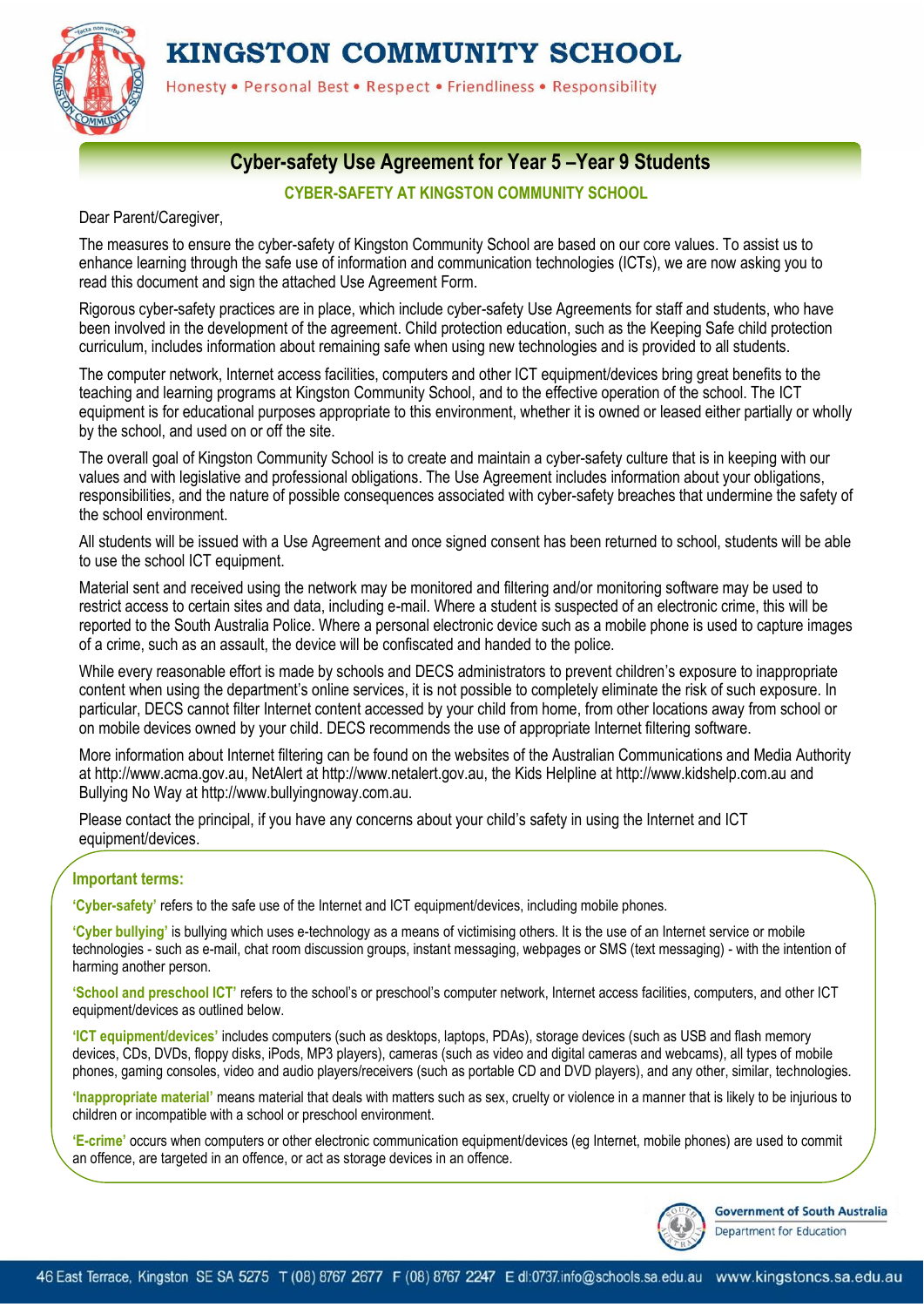KINGSTON COMMUNITY SCHOOL



Honesty . Personal Best . Respect . Friendliness . Responsibility

# **Cyber-safety Use Agreement for Year 5 –Year 9 Students**

#### **CYBER-SAFETY AT KINGSTON COMMUNITY SCHOOL**

Dear Parent/Caregiver,

The measures to ensure the cyber-safety of Kingston Community School are based on our core values. To assist us to enhance learning through the safe use of information and communication technologies (ICTs), we are now asking you to read this document and sign the attached Use Agreement Form.

Rigorous cyber-safety practices are in place, which include cyber-safety Use Agreements for staff and students, who have been involved in the development of the agreement. Child protection education, such as the Keeping Safe child protection curriculum, includes information about remaining safe when using new technologies and is provided to all students.

The computer network, Internet access facilities, computers and other ICT equipment/devices bring great benefits to the teaching and learning programs at Kingston Community School, and to the effective operation of the school. The ICT equipment is for educational purposes appropriate to this environment, whether it is owned or leased either partially or wholly by the school, and used on or off the site.

The overall goal of Kingston Community School is to create and maintain a cyber-safety culture that is in keeping with our values and with legislative and professional obligations. The Use Agreement includes information about your obligations, responsibilities, and the nature of possible consequences associated with cyber-safety breaches that undermine the safety of the school environment.

All students will be issued with a Use Agreement and once signed consent has been returned to school, students will be able to use the school ICT equipment.

Material sent and received using the network may be monitored and filtering and/or monitoring software may be used to restrict access to certain sites and data, including e-mail. Where a student is suspected of an electronic crime, this will be reported to the South Australia Police. Where a personal electronic device such as a mobile phone is used to capture images of a crime, such as an assault, the device will be confiscated and handed to the police.

While every reasonable effort is made by schools and DECS administrators to prevent children's exposure to inappropriate content when using the department's online services, it is not possible to completely eliminate the risk of such exposure. In particular, DECS cannot filter Internet content accessed by your child from home, from other locations away from school or on mobile devices owned by your child. DECS recommends the use of appropriate Internet filtering software.

More information about Internet filtering can be found on the websites of the Australian Communications and Media Authority at http://www.acma.gov.au, NetAlert at http://www.netalert.gov.au, the Kids Helpline at http://www.kidshelp.com.au and Bullying No Way at http://www.bullyingnoway.com.au.

Please contact the principal, if you have any concerns about your child's safety in using the Internet and ICT equipment/devices.

#### **Important terms:**

**'Cyber-safety'** refers to the safe use of the Internet and ICT equipment/devices, including mobile phones.

**'Cyber bullying'** is bullying which uses e-technology as a means of victimising others. It is the use of an Internet service or mobile technologies - such as e-mail, chat room discussion groups, instant messaging, webpages or SMS (text messaging) - with the intention of harming another person.

**'School and preschool ICT'** refers to the school's or preschool's computer network, Internet access facilities, computers, and other ICT equipment/devices as outlined below.

**'ICT equipment/devices'** includes computers (such as desktops, laptops, PDAs), storage devices (such as USB and flash memory devices, CDs, DVDs, floppy disks, iPods, MP3 players), cameras (such as video and digital cameras and webcams), all types of mobile phones, gaming consoles, video and audio players/receivers (such as portable CD and DVD players), and any other, similar, technologies.

**'Inappropriate material'** means material that deals with matters such as sex, cruelty or violence in a manner that is likely to be injurious to children or incompatible with a school or preschool environment.

**'E-crime'** occurs when computers or other electronic communication equipment/devices (eg Internet, mobile phones) are used to commit an offence, are targeted in an offence, or act as storage devices in an offence.



**Government of South Australia** Department for Education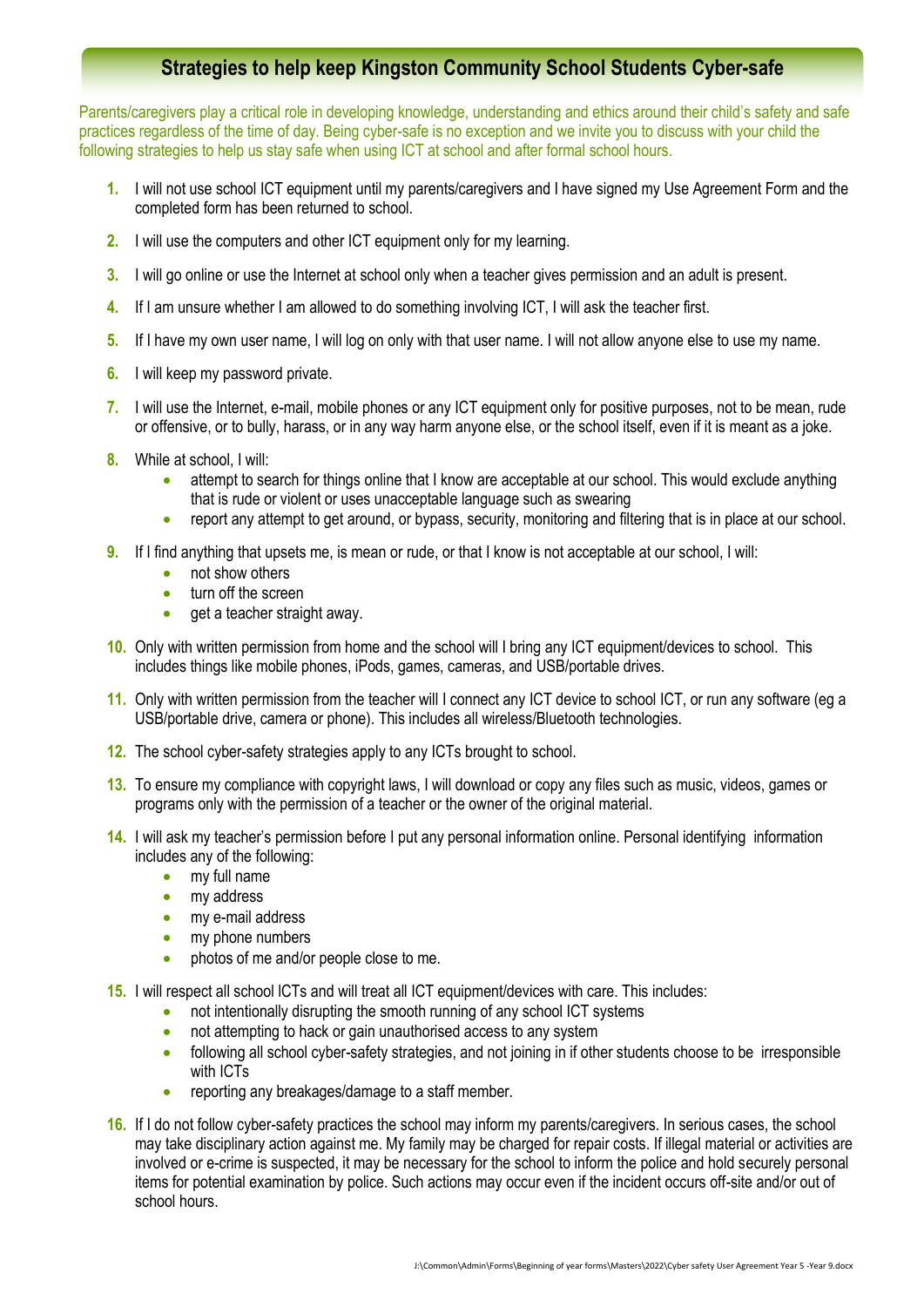## **Strategies to help keep Kingston Community School Students Cyber-safe**

Parents/caregivers play a critical role in developing knowledge, understanding and ethics around their child's safety and safe practices regardless of the time of day. Being cyber-safe is no exception and we invite you to discuss with your child the following strategies to help us stay safe when using ICT at school and after formal school hours.

- **1.** I will not use school ICT equipment until my parents/caregivers and I have signed my Use Agreement Form and the completed form has been returned to school.
- **2.** I will use the computers and other ICT equipment only for my learning.
- **3.** I will go online or use the Internet at school only when a teacher gives permission and an adult is present.
- **4.** If I am unsure whether I am allowed to do something involving ICT, I will ask the teacher first.
- **5.** If I have my own user name, I will log on only with that user name. I will not allow anyone else to use my name.
- **6.** I will keep my password private.
- **7.** I will use the Internet, e-mail, mobile phones or any ICT equipment only for positive purposes, not to be mean, rude or offensive, or to bully, harass, or in any way harm anyone else, or the school itself, even if it is meant as a joke.
- **8.** While at school, I will:
	- attempt to search for things online that I know are acceptable at our school. This would exclude anything that is rude or violent or uses unacceptable language such as swearing
	- report any attempt to get around, or bypass, security, monitoring and filtering that is in place at our school.
- **9.** If I find anything that upsets me, is mean or rude, or that I know is not acceptable at our school, I will:
	- not show others
	- **turn off the screen**
	- $\bullet$  aet a teacher straight away.
- **10.** Only with written permission from home and the school will I bring any ICT equipment/devices to school. This includes things like mobile phones, iPods, games, cameras, and USB/portable drives.
- **11.** Only with written permission from the teacher will I connect any ICT device to school ICT, or run any software (eg a USB/portable drive, camera or phone). This includes all wireless/Bluetooth technologies.
- **12.** The school cyber-safety strategies apply to any ICTs brought to school.
- **13.** To ensure my compliance with copyright laws, I will download or copy any files such as music, videos, games or programs only with the permission of a teacher or the owner of the original material.
- **14.** I will ask my teacher's permission before I put any personal information online. Personal identifying information includes any of the following:
	- my full name
	- my address
	- my e-mail address
	- my phone numbers
	- **•** photos of me and/or people close to me.
- **15.** I will respect all school lCTs and will treat all ICT equipment/devices with care. This includes:
	- not intentionally disrupting the smooth running of any school ICT systems
	- not attempting to hack or gain unauthorised access to any system
	- following all school cyber-safety strategies, and not joining in if other students choose to be irresponsible with ICTs
	- reporting any breakages/damage to a staff member.
- **16.** If I do not follow cyber-safety practices the school may inform my parents/caregivers. In serious cases, the school may take disciplinary action against me. My family may be charged for repair costs. If illegal material or activities are involved or e-crime is suspected, it may be necessary for the school to inform the police and hold securely personal items for potential examination by police. Such actions may occur even if the incident occurs off-site and/or out of school hours.